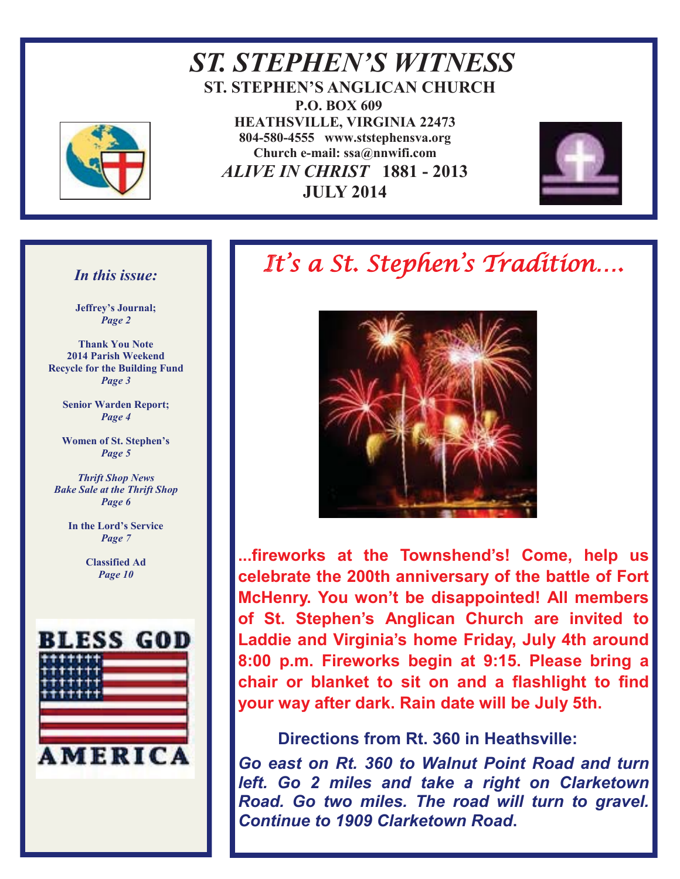

*ST. STEPHEN'S WITNESS*  **ST. STEPHEN'S ANGLICAN CHURCH P.O. BOX 609 HEATHSVILLE, VIRGINIA 22473 804-580-4555 www.ststephensva.org Church e-mail: ssa@nnwifi.com**   *ALIVE IN CHRIST* **1881 - 2013 JULY 2014**



#### *In this issue:*

**Jeffrey's Journal;** *Page 2* 

**Thank You Note 2014 Parish Weekend Recycle for the Building Fund** *Page 3* 

> **Senior Warden Report;**  *Page 4*

> **Women of St. Stephen's** *Page 5*

*Thrift Shop News Bake Sale at the Thrift Shop Page 6* 

> **In the Lord's Service** *Page 7*

> > **Classified Ad**  *Page 10*



# It's a St. Stephen's Tradition….



**...fireworks at the Townshend's! Come, help us celebrate the 200th anniversary of the battle of Fort McHenry. You won't be disappointed! All members of St. Stephen's Anglican Church are invited to Laddie and Virginia's home Friday, July 4th around 8:00 p.m. Fireworks begin at 9:15. Please bring a chair or blanket to sit on and a flashlight to find your way after dark. Rain date will be July 5th.** 

## **Directions from Rt. 360 in Heathsville:**

Ī

*Go east on Rt. 360 to Walnut Point Road and turn left. Go 2 miles and take a right on Clarketown Road. Go two miles. The road will turn to gravel. Continue to 1909 Clarketown Road***.**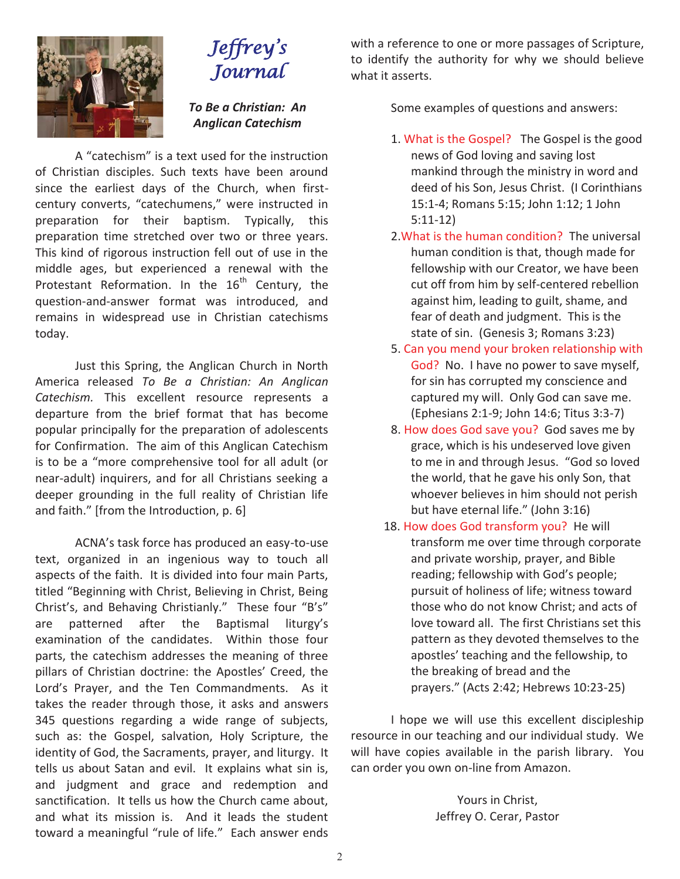

## Jeffrey ' s Journal

*To Be a Christian: An Anglican Catechism* 

A "catechism" is a text used for the instruction of Christian disciples. Such texts have been around since the earliest days of the Church, when firstcentury converts, "catechumens," were instructed in preparation for their baptism. Typically, this preparation time stretched over two or three years. This kind of rigorous instruction fell out of use in the middle ages, but experienced a renewal with the Protestant Reformation. In the  $16<sup>th</sup>$  Century, the question-and-answer format was introduced, and remains in widespread use in Christian catechisms today.

 Just this Spring, the Anglican Church in North America released *To Be a Christian: An Anglican Catechism.* This excellent resource represents a departure from the brief format that has become popular principally for the preparation of adolescents for Confirmation. The aim of this Anglican Catechism is to be a "more comprehensive tool for all adult (or near-adult) inquirers, and for all Christians seeking a deeper grounding in the full reality of Christian life and faith." [from the Introduction, p. 6]

ACNA's task force has produced an easy-to-use text, organized in an ingenious way to touch all aspects of the faith. It is divided into four main Parts, titled "Beginning with Christ, Believing in Christ, Being Christ's, and Behaving Christianly." These four "B's" are patterned after the Baptismal liturgy's examination of the candidates. Within those four parts, the catechism addresses the meaning of three pillars of Christian doctrine: the Apostles' Creed, the Lord's Prayer, and the Ten Commandments. As it takes the reader through those, it asks and answers 345 questions regarding a wide range of subjects, such as: the Gospel, salvation, Holy Scripture, the identity of God, the Sacraments, prayer, and liturgy. It tells us about Satan and evil. It explains what sin is, and judgment and grace and redemption and sanctification. It tells us how the Church came about, and what its mission is. And it leads the student toward a meaningful "rule of life." Each answer ends

with a reference to one or more passages of Scripture, to identify the authority for why we should believe what it asserts.

Some examples of questions and answers:

- 1. What is the Gospel? The Gospel is the good news of God loving and saving lost mankind through the ministry in word and deed of his Son, Jesus Christ. (I Corinthians 15:1-4; Romans 5:15; John 1:12; 1 John 5:11-12)
- 2.What is the human condition? The universal human condition is that, though made for fellowship with our Creator, we have been cut off from him by self-centered rebellion against him, leading to guilt, shame, and fear of death and judgment. This is the state of sin. (Genesis 3; Romans 3:23)
- 5. Can you mend your broken relationship with God? No. I have no power to save myself, for sin has corrupted my conscience and captured my will. Only God can save me. (Ephesians 2:1-9; John 14:6; Titus 3:3-7)
- 8. How does God save you? God saves me by grace, which is his undeserved love given to me in and through Jesus. "God so loved the world, that he gave his only Son, that whoever believes in him should not perish but have eternal life." (John 3:16)
- 18. How does God transform you? He will transform me over time through corporate and private worship, prayer, and Bible reading; fellowship with God's people; pursuit of holiness of life; witness toward those who do not know Christ; and acts of love toward all. The first Christians set this pattern as they devoted themselves to the apostles' teaching and the fellowship, to the breaking of bread and the prayers." (Acts 2:42; Hebrews 10:23-25)

 I hope we will use this excellent discipleship resource in our teaching and our individual study. We will have copies available in the parish library. You can order you own on-line from Amazon.

> Yours in Christ, Jeffrey O. Cerar, Pastor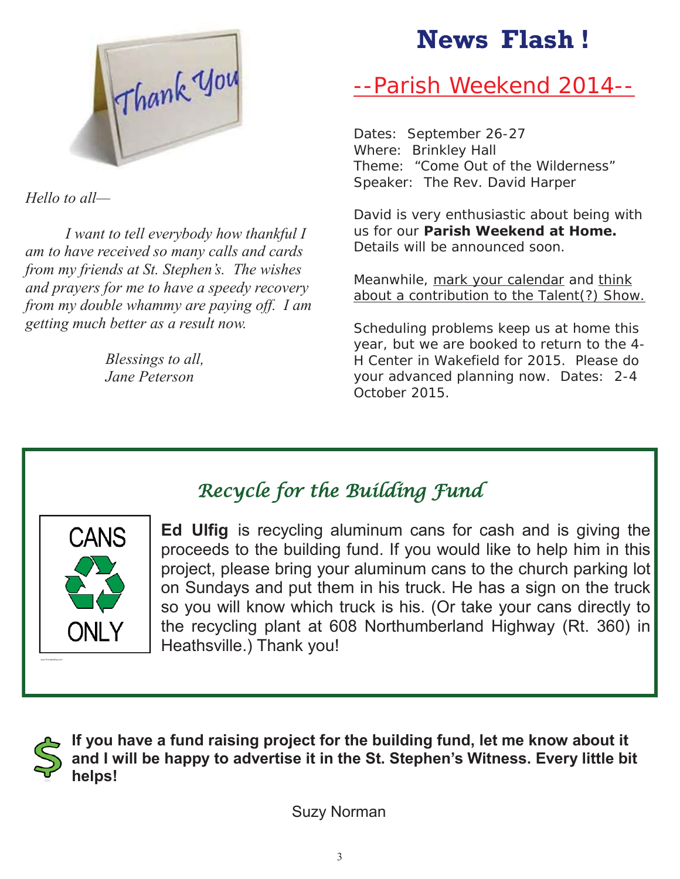

*Hello to all—*

 *I want to tell everybody how thankful I am to have received so many calls and cards from my friends at St. Stephen's. The wishes and prayers for me to have a speedy recovery from my double whammy are paying off. I am getting much better as a result now.* 

> *Blessings to all, Jane Peterson*

# **News Flash !**

# --Parish Weekend 2014--

Dates: September 26-27 Where: Brinkley Hall Theme: "Come Out of the Wilderness" Speaker: The Rev. David Harper

David is very enthusiastic about being with us for our **Parish Weekend at Home.** Details will be announced soon.

Meanwhile, mark your calendar and think about a contribution to the **Talent(?)** Show.

Scheduling problems keep us at home this year, but we are booked to return to the 4- H Center in Wakefield for 2015. Please do your advanced planning now. Dates: 2-4 October 2015.



**Ed Ulfig** is recycling aluminum cans for cash and is giving the proceeds to the building fund. If you would like to help him in this project, please bring your aluminum cans to the church parking lot on Sundays and put them in his truck. He has a sign on the truck so you will know which truck is his. (Or take your cans directly to the recycling plant at 608 Northumberland Highway (Rt. 360) in Heathsville.) Thank you!

![](_page_2_Picture_12.jpeg)

**If you have a fund raising project for the building fund, let me know about it and I will be happy to advertise it in the St. Stephen's Witness. Every little bit helps!** 

Recycle for the Building Fund

Suzy Norman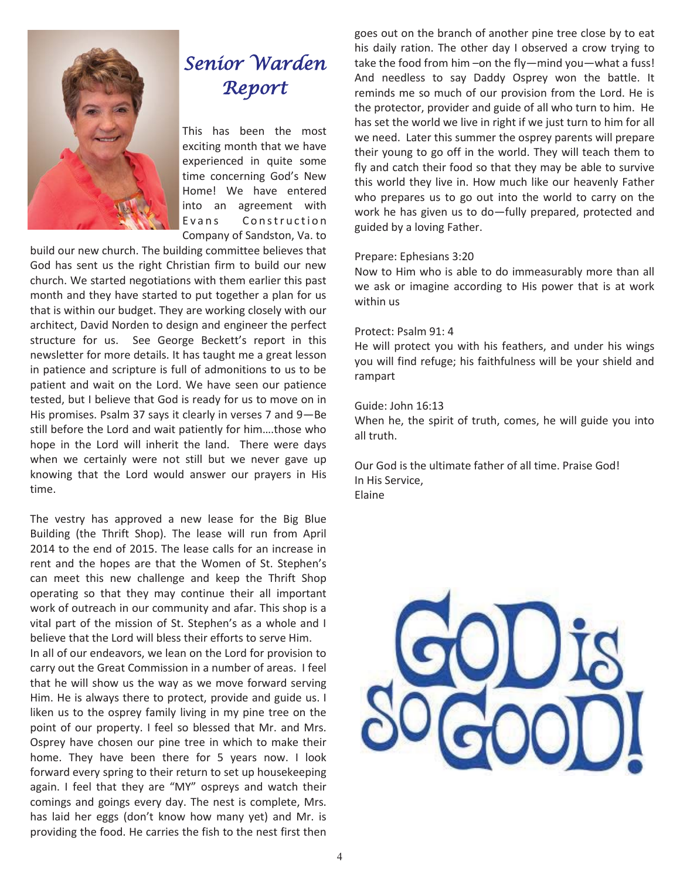![](_page_3_Picture_0.jpeg)

# Senior Warden Report

This has been the most exciting month that we have experienced in quite some time concerning God's New Home! We have entered into an agreement with Evans Construction Company of Sandston, Va. to

build our new church. The building committee believes that God has sent us the right Christian firm to build our new church. We started negotiations with them earlier this past month and they have started to put together a plan for us that is within our budget. They are working closely with our architect, David Norden to design and engineer the perfect structure for us. See George Beckett's report in this newsletter for more details. It has taught me a great lesson in patience and scripture is full of admonitions to us to be patient and wait on the Lord. We have seen our patience tested, but I believe that God is ready for us to move on in His promises. Psalm 37 says it clearly in verses 7 and 9—Be still before the Lord and wait patiently for him….those who hope in the Lord will inherit the land. There were days when we certainly were not still but we never gave up knowing that the Lord would answer our prayers in His time.

The vestry has approved a new lease for the Big Blue Building (the Thrift Shop). The lease will run from April 2014 to the end of 2015. The lease calls for an increase in rent and the hopes are that the Women of St. Stephen's can meet this new challenge and keep the Thrift Shop operating so that they may continue their all important work of outreach in our community and afar. This shop is a vital part of the mission of St. Stephen's as a whole and I believe that the Lord will bless their efforts to serve Him.

In all of our endeavors, we lean on the Lord for provision to carry out the Great Commission in a number of areas. I feel that he will show us the way as we move forward serving Him. He is always there to protect, provide and guide us. I liken us to the osprey family living in my pine tree on the point of our property. I feel so blessed that Mr. and Mrs. Osprey have chosen our pine tree in which to make their home. They have been there for 5 years now. I look forward every spring to their return to set up housekeeping again. I feel that they are "MY" ospreys and watch their comings and goings every day. The nest is complete, Mrs. has laid her eggs (don't know how many yet) and Mr. is providing the food. He carries the fish to the nest first then goes out on the branch of another pine tree close by to eat his daily ration. The other day I observed a crow trying to take the food from him –on the fly—mind you—what a fuss! And needless to say Daddy Osprey won the battle. It reminds me so much of our provision from the Lord. He is the protector, provider and guide of all who turn to him. He has set the world we live in right if we just turn to him for all we need. Later this summer the osprey parents will prepare their young to go off in the world. They will teach them to fly and catch their food so that they may be able to survive this world they live in. How much like our heavenly Father who prepares us to go out into the world to carry on the work he has given us to do—fully prepared, protected and guided by a loving Father.

#### Prepare: Ephesians 3:20

Now to Him who is able to do immeasurably more than all we ask or imagine according to His power that is at work within us

#### Protect: Psalm 91: 4

He will protect you with his feathers, and under his wings you will find refuge; his faithfulness will be your shield and rampart

#### Guide: John 16:13

When he, the spirit of truth, comes, he will guide you into all truth.

Our God is the ultimate father of all time. Praise God! In His Service, Elaine

![](_page_3_Picture_14.jpeg)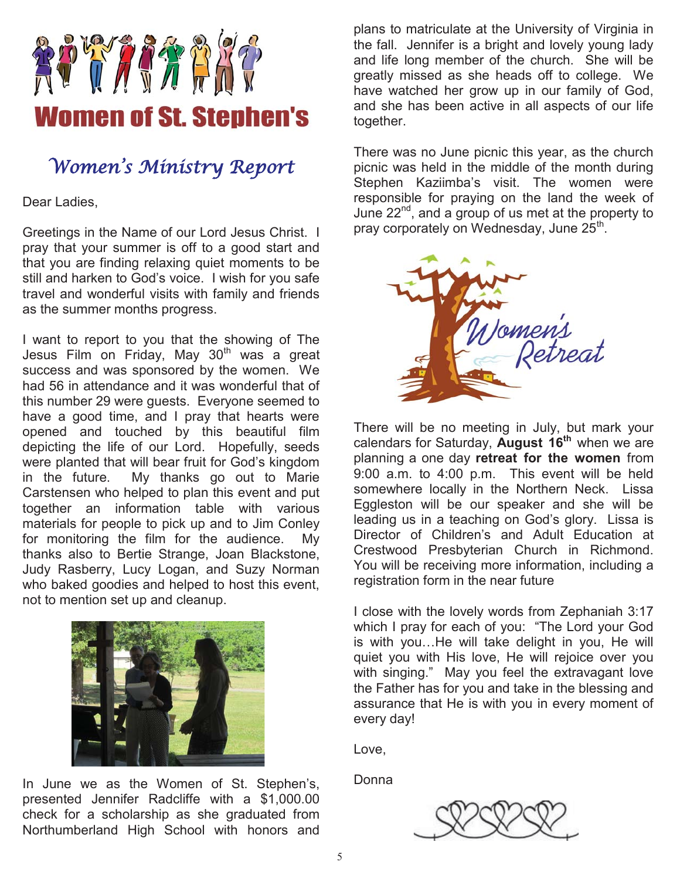![](_page_4_Picture_0.jpeg)

Women ' s Ministry Report

Dear Ladies,

Greetings in the Name of our Lord Jesus Christ. I pray that your summer is off to a good start and that you are finding relaxing quiet moments to be still and harken to God's voice. I wish for you safe travel and wonderful visits with family and friends as the summer months progress.

I want to report to you that the showing of The Jesus Film on Friday, May 30<sup>th</sup> was a great success and was sponsored by the women. We had 56 in attendance and it was wonderful that of this number 29 were guests. Everyone seemed to have a good time, and I pray that hearts were opened and touched by this beautiful film depicting the life of our Lord. Hopefully, seeds were planted that will bear fruit for God's kingdom in the future. My thanks go out to Marie Carstensen who helped to plan this event and put together an information table with various materials for people to pick up and to Jim Conley for monitoring the film for the audience. My thanks also to Bertie Strange, Joan Blackstone, Judy Rasberry, Lucy Logan, and Suzy Norman who baked goodies and helped to host this event, not to mention set up and cleanup.

![](_page_4_Picture_5.jpeg)

In June we as the Women of St. Stephen's, presented Jennifer Radcliffe with a \$1,000.00 check for a scholarship as she graduated from Northumberland High School with honors and

plans to matriculate at the University of Virginia in the fall. Jennifer is a bright and lovely young lady and life long member of the church. She will be greatly missed as she heads off to college. We have watched her grow up in our family of God, and she has been active in all aspects of our life together.

There was no June picnic this year, as the church picnic was held in the middle of the month during Stephen Kaziimba's visit. The women were responsible for praying on the land the week of June 22nd, and a group of us met at the property to pray corporately on Wednesday, June  $25<sup>th</sup>$ .

![](_page_4_Picture_9.jpeg)

There will be no meeting in July, but mark your calendars for Saturday, **August 16th** when we are planning a one day **retreat for the women** from 9:00 a.m. to 4:00 p.m. This event will be held somewhere locally in the Northern Neck. Lissa Eggleston will be our speaker and she will be leading us in a teaching on God's glory. Lissa is Director of Children's and Adult Education at Crestwood Presbyterian Church in Richmond. You will be receiving more information, including a registration form in the near future

I close with the lovely words from Zephaniah 3:17 which I pray for each of you: "The Lord your God is with you…He will take delight in you, He will quiet you with His love, He will rejoice over you with singing." May you feel the extravagant love the Father has for you and take in the blessing and assurance that He is with you in every moment of every day!

Love,

Donna

![](_page_4_Picture_14.jpeg)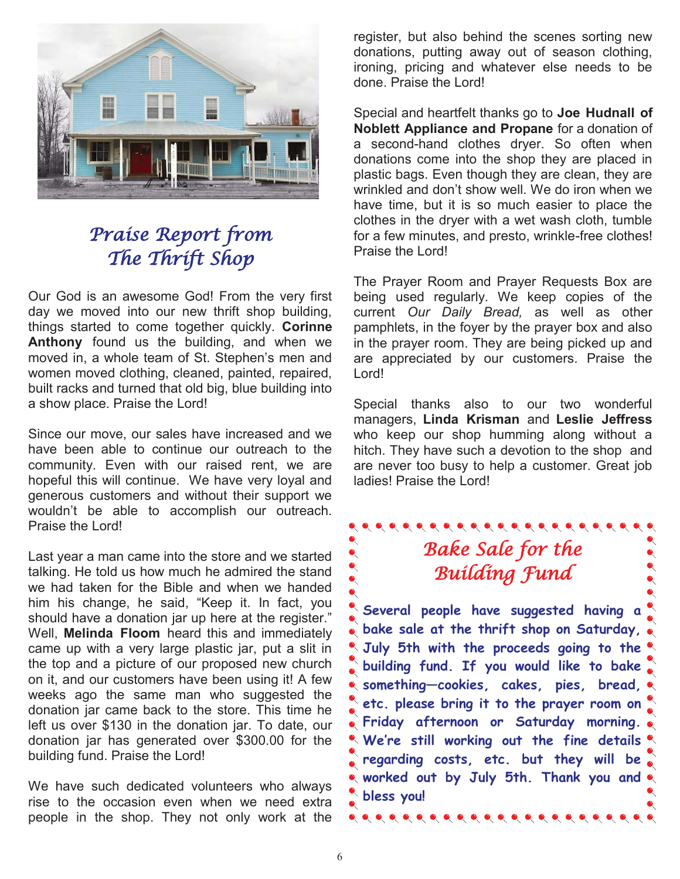![](_page_5_Picture_0.jpeg)

## Praise Report from The Thrift Shop

Our God is an awesome God! From the very first day we moved into our new thrift shop building, things started to come together quickly. **Corinne Anthony** found us the building, and when we moved in, a whole team of St. Stephen's men and women moved clothing, cleaned, painted, repaired, built racks and turned that old big, blue building into a show place. Praise the Lord!

Since our move, our sales have increased and we have been able to continue our outreach to the community. Even with our raised rent, we are hopeful this will continue. We have very loyal and generous customers and without their support we wouldn't be able to accomplish our outreach. Praise the Lord!

Last year a man came into the store and we started talking. He told us how much he admired the stand we had taken for the Bible and when we handed him his change, he said, "Keep it. In fact, you should have a donation jar up here at the register." Well, **Melinda Floom** heard this and immediately came up with a very large plastic jar, put a slit in the top and a picture of our proposed new church on it, and our customers have been using it! A few weeks ago the same man who suggested the donation jar came back to the store. This time he left us over \$130 in the donation jar. To date, our donation jar has generated over \$300.00 for the building fund. Praise the Lord!

We have such dedicated volunteers who always rise to the occasion even when we need extra people in the shop. They not only work at the register, but also behind the scenes sorting new donations, putting away out of season clothing, ironing, pricing and whatever else needs to be done. Praise the Lord!

Special and heartfelt thanks go to **Joe Hudnall of Noblett Appliance and Propane** for a donation of a second-hand clothes dryer. So often when donations come into the shop they are placed in plastic bags. Even though they are clean, they are wrinkled and don't show well. We do iron when we have time, but it is so much easier to place the clothes in the dryer with a wet wash cloth, tumble for a few minutes, and presto, wrinkle-free clothes! Praise the Lord!

The Prayer Room and Prayer Requests Box are being used regularly. We keep copies of the current *Our Daily Bread,* as well as other pamphlets, in the foyer by the prayer box and also in the prayer room. They are being picked up and are appreciated by our customers. Praise the Lord!

Special thanks also to our two wonderful managers, **Linda Krisman** and **Leslie Jeffress**  who keep our shop humming along without a hitch. They have such a devotion to the shop and are never too busy to help a customer. Great job ladies! Praise the Lord!

## Bake Sale for the Building Fund

**Several people have suggested having a bake sale at the thrift shop on Saturday, July 5th with the proceeds going to the building fund. If you would like to bake something—cookies, cakes, pies, bread, e** etc. please bring it to the prayer room on ) **Friday afternoon or Saturday morning. We're still working out the fine details regarding costs, etc. but they will be worked out by July 5th. Thank you and bless you!**  $\bullet\hspace{0.2cm} \bullet\hspace{0.2cm} \bullet\hspace{0.2cm} \bullet\hspace{0.2cm} \bullet\hspace{0.2cm} \bullet\hspace{0.2cm} \bullet\hspace{0.2cm} \bullet\hspace{0.2cm} \bullet\hspace{0.2cm} \bullet\hspace{0.2cm} \bullet\hspace{0.2cm} \bullet\hspace{0.2cm} \bullet\hspace{0.2cm} \bullet\hspace{0.2cm} \bullet\hspace{0.2cm} \bullet\hspace{0.2cm} \bullet\hspace{0.2cm} \bullet\hspace{0.2cm} \bullet\hspace{0.2cm} \bullet\hspace{0.2cm}$ 

 $\bullet$  $\bullet$  $\bullet$ 

 $\bullet$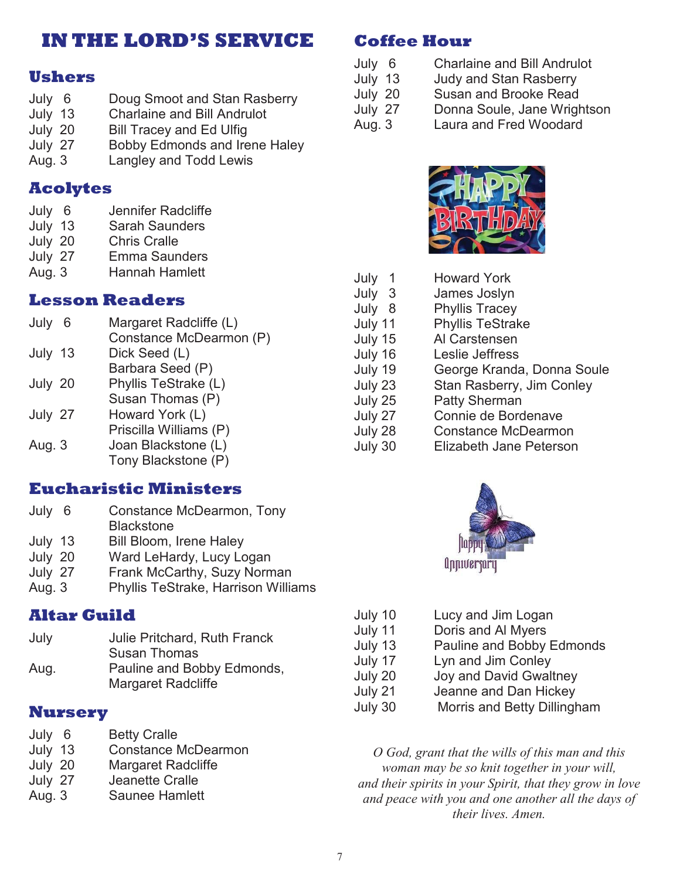## **IN THE LORD'S SERVICE**

## **Ushers**

- July 6 Doug Smoot and Stan Rasberry
- July 13 Charlaine and Bill Andrulot<br>July 20 Bill Tracey and Ed Ulfig
- Bill Tracey and Ed Ulfig
- July 27 Bobby Edmonds and Irene Haley
- Aug. 3 Langley and Todd Lewis

## **Acolytes**

- July 6 Jennifer Radcliffe
- July 13 Sarah Saunders
- July 20 Chris Cralle
- July 27 Emma Saunders
- Aug. 3 Hannah Hamlett

## **Lesson Readers**

| July 6  | Margaret Radcliffe (L)  |
|---------|-------------------------|
|         | Constance McDearmon (P) |
| July 13 | Dick Seed (L)           |
|         | Barbara Seed (P)        |
| July 20 | Phyllis TeStrake (L)    |
|         | Susan Thomas (P)        |
| July 27 | Howard York (L)         |
|         | Priscilla Williams (P)  |
| Aug. 3  | Joan Blackstone (L)     |
|         | Tony Blackstone (P)     |

## **Eucharistic Ministers**

| July 6  | Constance McDearmon, Tony           |
|---------|-------------------------------------|
|         | <b>Blackstone</b>                   |
| July 13 | <b>Bill Bloom, Irene Haley</b>      |
| July 20 | Ward LeHardy, Lucy Logan            |
| July 27 | Frank McCarthy, Suzy Norman         |
| Aug. 3  | Phyllis TeStrake, Harrison Williams |
|         |                                     |

## **Altar Guild**

| July | Julie Pritchard, Ruth Franck |
|------|------------------------------|
|      | <b>Susan Thomas</b>          |
| Aug. | Pauline and Bobby Edmonds,   |
|      | <b>Margaret Radcliffe</b>    |

### **Nursery**

- July 6 Betty Cralle<br>July 13 Constance M
- Constance McDearmon
- July 20 Margaret Radcliffe
- July 27 Jeanette Cralle
- Aug. 3 Saunee Hamlett

## **Coffee Hour**

- July 6 Charlaine and Bill Andrulot
- July 13 Judy and Stan Rasberry<br>July 20 Susan and Brooke Read
	- Susan and Brooke Read
- July 27 Donna Soule, Jane Wrightson
- Aug. 3 Laura and Fred Woodard

![](_page_6_Picture_31.jpeg)

| July<br>1 | <b>Howard York</b>         |
|-----------|----------------------------|
| July 3    | James Joslyn               |
| July 8    | <b>Phyllis Tracey</b>      |
| July 11   | <b>Phyllis TeStrake</b>    |
| July 15   | Al Carstensen              |
| July 16   | Leslie Jeffress            |
| July 19   | George Kranda, Donna Soule |
| July 23   | Stan Rasberry, Jim Conley  |
| July 25   | <b>Patty Sherman</b>       |
| July 27   | Connie de Bordenave        |
| July 28   | <b>Constance McDearmon</b> |
| July 30   | Elizabeth Jane Peterson    |
|           |                            |

![](_page_6_Picture_33.jpeg)

| July 10 | Lucy and Jim Logan          |
|---------|-----------------------------|
| July 11 | Doris and Al Myers          |
| July 13 | Pauline and Bobby Edmonds   |
| July 17 | Lyn and Jim Conley          |
| July 20 | Joy and David Gwaltney      |
| July 21 | Jeanne and Dan Hickey       |
| July 30 | Morris and Betty Dillingham |

*O God, grant that the wills of this man and this woman may be so knit together in your will, and their spirits in your Spirit, that they grow in love and peace with you and one another all the days of their lives. Amen.*